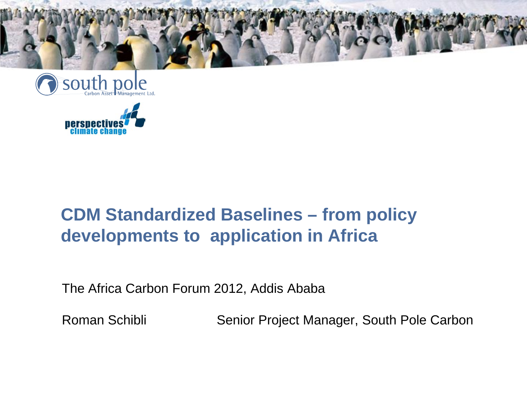





## **CDM Standardized Baselines – from policy developments to application in Africa**

The Africa Carbon Forum 2012, Addis Ababa

Roman Schibli Senior Project Manager, South Pole Carbon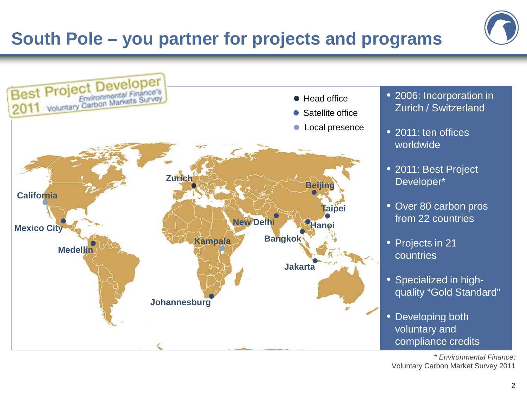## **South Pole – you partner for projects and programs**





- 2006: Incorporation in Zurich / Switzerland
- 2011: ten offices worldwide
- 2011: Best Project Developer\*
- Over 80 carbon pros from 22 countries
- Projects in 21 countries
- Specialized in highquality "Gold Standard"
- Developing both voluntary and compliance credits

\* *Environmental Finance*: Voluntary Carbon Market Survey 2011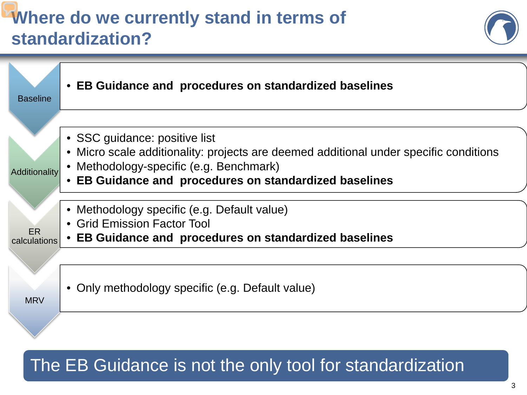# **Where do we currently stand in terms of standardization?**





## The EB Guidance is not the only tool for standardization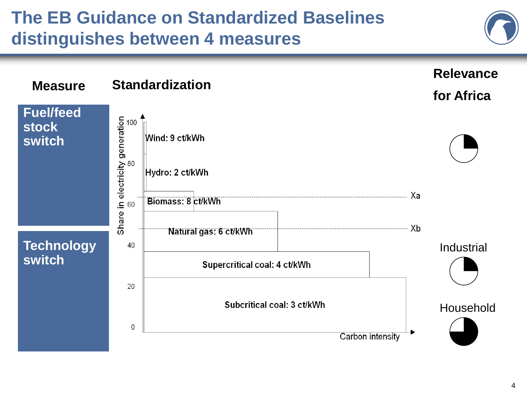# **The EB Guidance on Standardized Baselines distinguishes between 4 measures**

**Fuel/feed** 

**Measure**

**stock** 

**switch**

**switch**

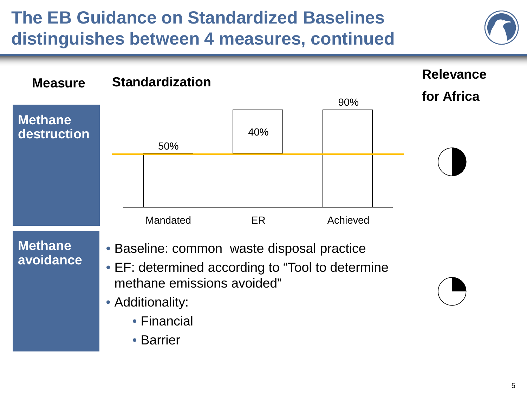# **The EB Guidance on Standardized Baselines distinguishes between 4 measures, continued**

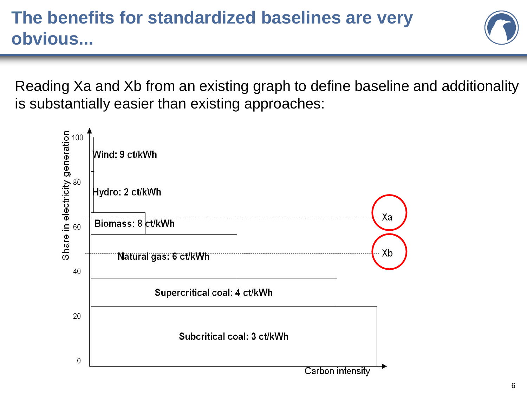

Reading Xa and Xb from an existing graph to define baseline and additionality is substantially easier than existing approaches:

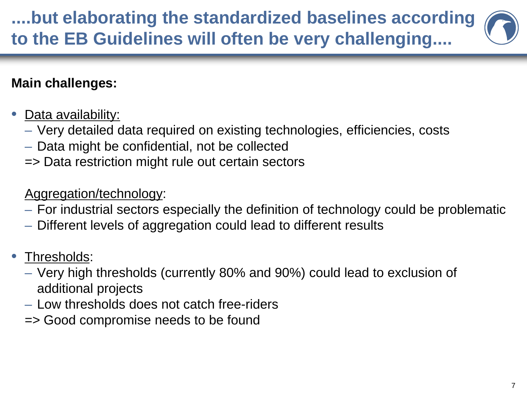# **....but elaborating the standardized baselines according to the EB Guidelines will often be very challenging....**

### **Main challenges:**

- Data availability:
	- Very detailed data required on existing technologies, efficiencies, costs
	- Data might be confidential, not be collected
	- => Data restriction might rule out certain sectors

#### Aggregation/technology:

- For industrial sectors especially the definition of technology could be problematic
- Different levels of aggregation could lead to different results
- Thresholds:
	- Very high thresholds (currently 80% and 90%) could lead to exclusion of additional projects
	- Low thresholds does not catch free-riders
	- => Good compromise needs to be found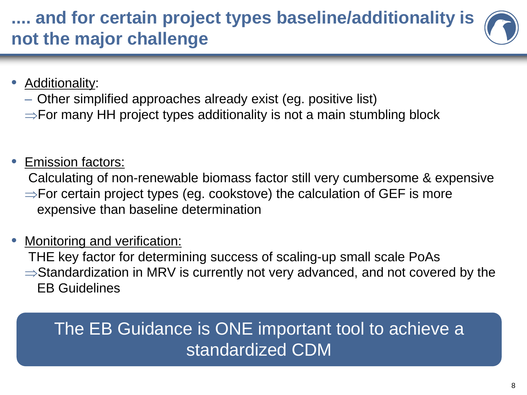## **.... and for certain project types baseline/additionality is not the major challenge**

#### **Additionality:**

- Other simplified approaches already exist (eg. positive list)
- ⇒For many HH project types additionality is not a main stumbling block

#### • Emission factors:

Calculating of non-renewable biomass factor still very cumbersome & expensive

⇒For certain project types (eg. cookstove) the calculation of GEF is more expensive than baseline determination

#### Monitoring and verification:

THE key factor for determining success of scaling-up small scale PoAs

⇒Standardization in MRV is currently not very advanced, and not covered by the EB Guidelines

## The EB Guidance is ONE important tool to achieve a standardized CDM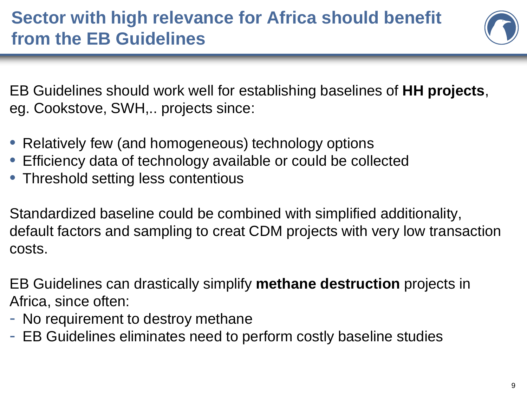

EB Guidelines should work well for establishing baselines of **HH projects**, eg. Cookstove, SWH,.. projects since:

- Relatively few (and homogeneous) technology options
- Efficiency data of technology available or could be collected
- Threshold setting less contentious

Standardized baseline could be combined with simplified additionality, default factors and sampling to creat CDM projects with very low transaction costs.

EB Guidelines can drastically simplify **methane destruction** projects in Africa, since often:

- No requirement to destroy methane
- EB Guidelines eliminates need to perform costly baseline studies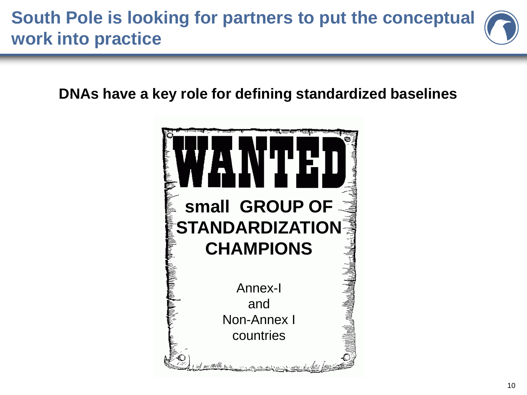## **South Pole is looking for partners to put the conceptual work into practice**

**DNAs have a key role for defining standardized baselines**